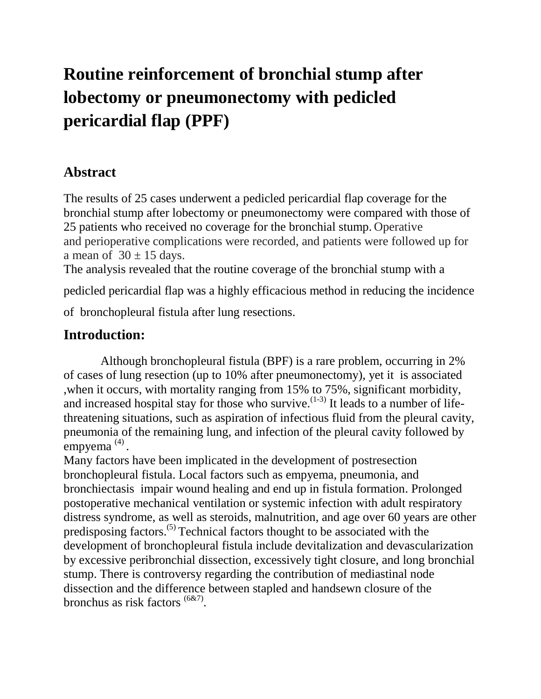# **Routine reinforcement of bronchial stump after lobectomy or pneumonectomy with pedicled pericardial flap (PPF)**

## **Abstract**

The results of 25 cases underwent a pedicled pericardial flap coverage for the bronchial stump after lobectomy or pneumonectomy were compared with those of 25 patients who received no coverage for the bronchial stump. Operative and perioperative complications were recorded, and patients were followed up for a mean of  $30 \pm 15$  days.

The analysis revealed that the routine coverage of the bronchial stump with a

pedicled pericardial flap was a highly efficacious method in reducing the incidence

of bronchopleural fistula after lung resections.

### **Introduction:**

 Although bronchopleural fistula (BPF) is a rare problem, occurring in 2% of cases of lung resection (up to 10% after pneumonectomy), yet it is associated ,when it occurs, with mortality ranging from 15% to 75%, significant morbidity, and increased hospital stay for those who survive.  $(1-3)$  It leads to a number of lifethreatening situations, such as aspiration of infectious fluid from the pleural cavity, pneumonia of the remaining lung, and infection of the pleural cavity followed by empyema<sup>(4)</sup>.

Many factors have been implicated in the development of postresection bronchopleural fistula. Local factors such as empyema, pneumonia, and bronchiectasis impair wound healing and end up in fistula formation. Prolonged postoperative mechanical ventilation or systemic infection with adult respiratory distress syndrome, as well as steroids, malnutrition, and age over 60 years are other predisposing factors.(5) Technical factors thought to be associated with the development of bronchopleural fistula include devitalization and devascularization by excessive peribronchial dissection, excessively tight closure, and long bronchial stump. There is controversy regarding the contribution of mediastinal node dissection and the difference between stapled and handsewn closure of the bronchus as risk factors <sup>(6&7)</sup>.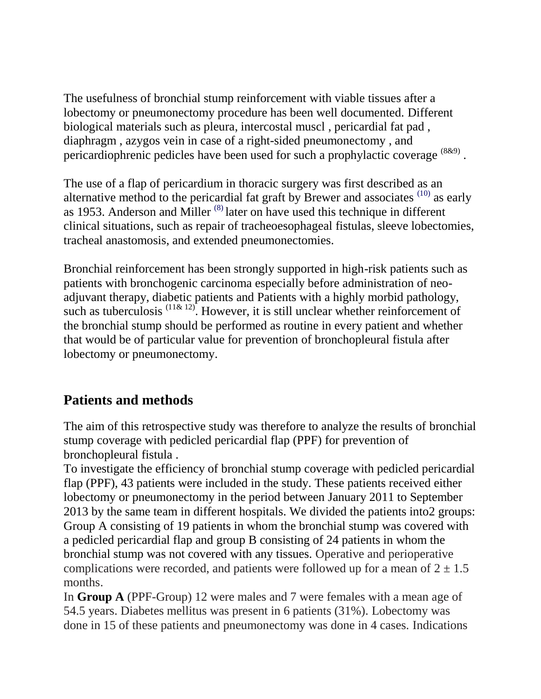The usefulness of bronchial stump reinforcement with viable tissues after a lobectomy or pneumonectomy procedure has been well documented. Different biological materials such as pleura, intercostal muscl , pericardial fat pad , diaphragm , azygos vein in case of a right-sided pneumonectomy , and pericardiophrenic pedicles have been used for such a prophylactic coverage  $^{(8\&9)}$ .

The use of a flap of pericardium in thoracic surgery was first described as an alternative method to the pericardial fat graft by Brewer and associates  $(10)$  as early as 1953. Anderson and Miller  $(8)$  later on have used this technique in different clinical situations, such as repair of tracheoesophageal fistulas, sleeve lobectomies, tracheal anastomosis, and extended pneumonectomies.

Bronchial reinforcement has been strongly supported in high-risk patients such as patients with bronchogenic carcinoma especially before administration of neoadjuvant therapy, diabetic patients and Patients with a highly morbid pathology, such as tuberculosis  $(11\& 12)$ . However, it is still unclear whether reinforcement of the bronchial stump should be performed as routine in every patient and whether that would be of particular value for prevention of bronchopleural fistula after lobectomy or pneumonectomy.

# **Patients and methods**

The aim of this retrospective study was therefore to analyze the results of bronchial stump coverage with pedicled pericardial flap (PPF) for prevention of bronchopleural fistula .

To investigate the efficiency of bronchial stump coverage with pedicled pericardial flap (PPF), 43 patients were included in the study. These patients received either lobectomy or pneumonectomy in the period between January 2011 to September 2013 by the same team in different hospitals. We divided the patients into2 groups: Group A consisting of 19 patients in whom the bronchial stump was covered with a pedicled pericardial flap and group B consisting of 24 patients in whom the bronchial stump was not covered with any tissues. Operative and perioperative complications were recorded, and patients were followed up for a mean of  $2 \pm 1.5$ months.

In **Group A** (PPF-Group) 12 were males and 7 were females with a mean age of 54.5 years. Diabetes mellitus was present in 6 patients (31%). Lobectomy was done in 15 of these patients and pneumonectomy was done in 4 cases. Indications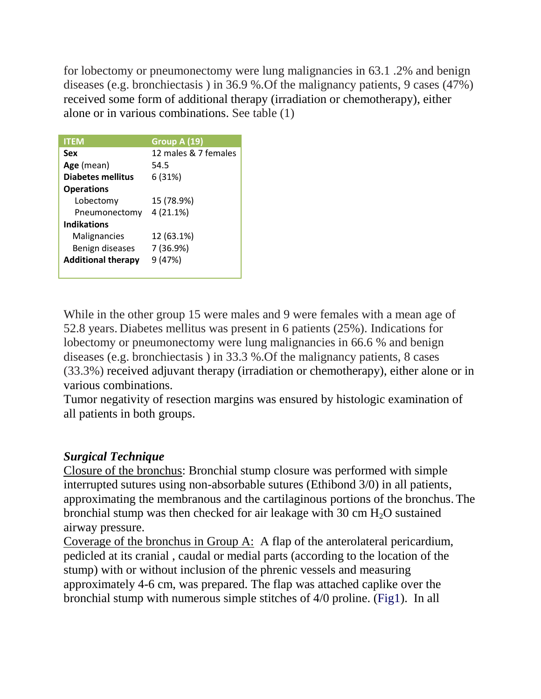for lobectomy or pneumonectomy were lung malignancies in 63.1 .2% and benign diseases (e.g. bronchiectasis ) in 36.9 %.Of the malignancy patients, 9 cases (47%) received some form of additional therapy (irradiation or chemotherapy), either alone or in various combinations. See table (1)

| <b>ITEM</b>               | Group A (19)         |
|---------------------------|----------------------|
| Sex                       | 12 males & 7 females |
| Age (mean)                | 54.5                 |
| Diabetes mellitus         | 6 (31%)              |
| <b>Operations</b>         |                      |
| Lobectomy                 | 15 (78.9%)           |
| Pneumonectomy             | 4(21.1%)             |
| <b>Indikations</b>        |                      |
| Malignancies              | 12 (63.1%)           |
| Benign diseases           | 7 (36.9%)            |
| <b>Additional therapy</b> | 9 (47%)              |
|                           |                      |

While in the other group 15 were males and 9 were females with a mean age of 52.8 years. Diabetes mellitus was present in 6 patients (25%). Indications for lobectomy or pneumonectomy were lung malignancies in 66.6 % and benign diseases (e.g. bronchiectasis ) in 33.3 %.Of the malignancy patients, 8 cases (33.3%) received adjuvant therapy (irradiation or chemotherapy), either alone or in various combinations.

Tumor negativity of resection margins was ensured by histologic examination of all patients in both groups.

#### *Surgical Technique*

Closure of the bronchus: Bronchial stump closure was performed with simple interrupted sutures using non-absorbable sutures (Ethibond 3/0) in all patients, approximating the membranous and the cartilaginous portions of the bronchus. The bronchial stump was then checked for air leakage with  $30 \text{ cm H}_2\text{O}$  sustained airway pressure.

Coverage of the bronchus in Group A: A flap of the anterolateral pericardium, pedicled at its cranial , caudal or medial parts (according to the location of the stump) with or without inclusion of the phrenic vessels and measuring approximately 4-6 cm, was prepared. The flap was attached caplike over the bronchial stump with numerous simple stitches of 4/0 proline. (Fig1). In all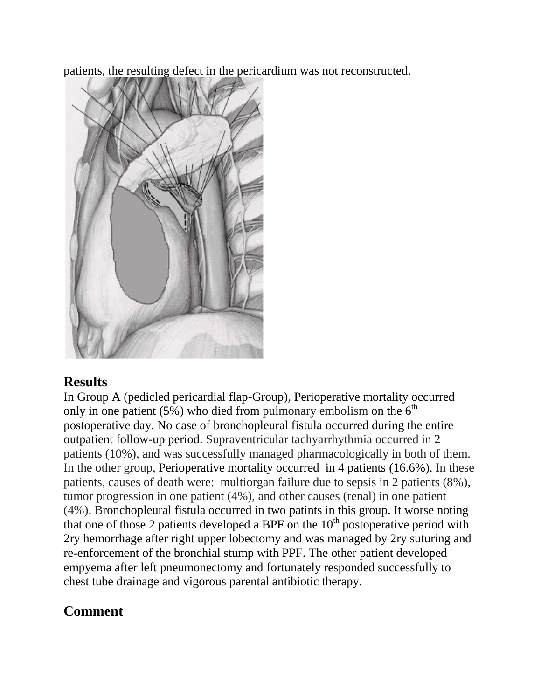patients, the resulting defect in the pericardium was not reconstructed.



# **Results**

In Group A (pedicled pericardial flap-Group), Perioperative mortality occurred only in one patient (5%) who died from pulmonary embolism on the  $6<sup>th</sup>$ postoperative day. No case of bronchopleural fistula occurred during the entire outpatient follow-up period. Supraventricular tachyarrhythmia occurred in 2 patients (10%), and was successfully managed pharmacologically in both of them. In the other group, Perioperative mortality occurred in 4 patients (16.6%). In these patients, causes of death were: multiorgan failure due to sepsis in 2 patients (8%), tumor progression in one patient (4%), and other causes (renal) in one patient (4%). Bronchopleural fistula occurred in two patints in this group. It worse noting that one of those 2 patients developed a BPF on the  $10<sup>th</sup>$  postoperative period with 2ry hemorrhage after right upper lobectomy and was managed by 2ry suturing and re-enforcement of the bronchial stump with PPF. The other patient developed empyema after left pneumonectomy and fortunately responded successfully to chest tube drainage and vigorous parental antibiotic therapy.

# **Comment**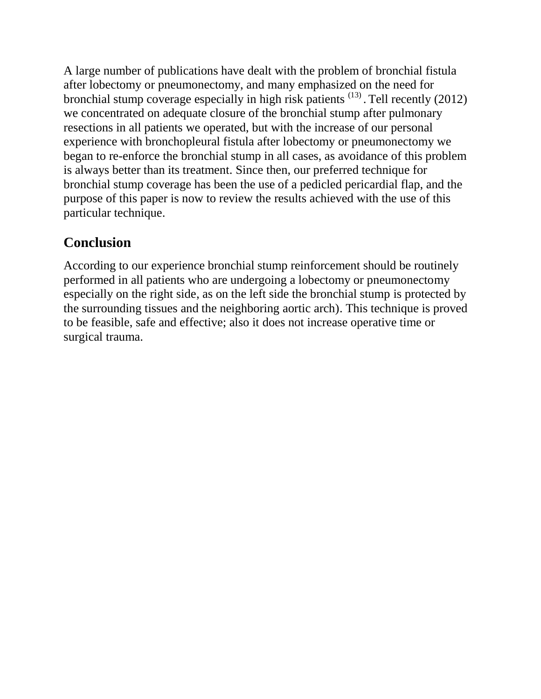A large number of publications have dealt with the problem of bronchial fistula after lobectomy or pneumonectomy, and many emphasized on the need for bronchial stump coverage especially in high risk patients  $(13)$ . Tell recently (2012) we concentrated on adequate closure of the bronchial stump after pulmonary resections in all patients we operated, but with the increase of our personal experience with bronchopleural fistula after lobectomy or pneumonectomy we began to re-enforce the bronchial stump in all cases, as avoidance of this problem is always better than its treatment. Since then, our preferred technique for bronchial stump coverage has been the use of a pedicled pericardial flap, and the purpose of this paper is now to review the results achieved with the use of this particular technique.

## **Conclusion**

According to our experience bronchial stump reinforcement should be routinely performed in all patients who are undergoing a lobectomy or pneumonectomy especially on the right side, as on the left side the bronchial stump is protected by the surrounding tissues and the neighboring aortic arch). This technique is proved to be feasible, safe and effective; also it does not increase operative time or surgical trauma.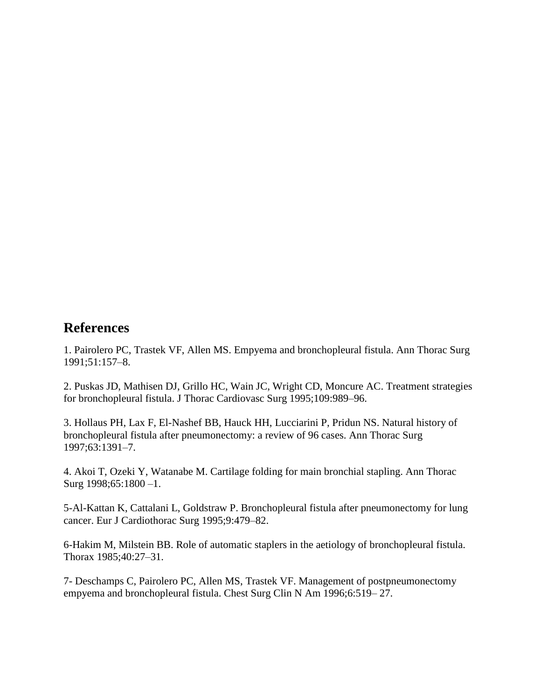#### **References**

1. Pairolero PC, Trastek VF, Allen MS. Empyema and bronchopleural fistula. Ann Thorac Surg 1991;51:157–8.

2. Puskas JD, Mathisen DJ, Grillo HC, Wain JC, Wright CD, Moncure AC. Treatment strategies for bronchopleural fistula. J Thorac Cardiovasc Surg 1995;109:989–96.

3. Hollaus PH, Lax F, El-Nashef BB, Hauck HH, Lucciarini P, Pridun NS. Natural history of bronchopleural fistula after pneumonectomy: a review of 96 cases. Ann Thorac Surg 1997;63:1391–7.

4. Akoi T, Ozeki Y, Watanabe M. Cartilage folding for main bronchial stapling. Ann Thorac Surg 1998;65:1800 –1.

5-Al-Kattan K, Cattalani L, Goldstraw P. Bronchopleural fistula after pneumonectomy for lung cancer. Eur J Cardiothorac Surg 1995;9:479–82.

6-Hakim M, Milstein BB. Role of automatic staplers in the aetiology of bronchopleural fistula. Thorax 1985;40:27–31.

7- Deschamps C, Pairolero PC, Allen MS, Trastek VF. Management of postpneumonectomy empyema and bronchopleural fistula. Chest Surg Clin N Am 1996;6:519– 27.